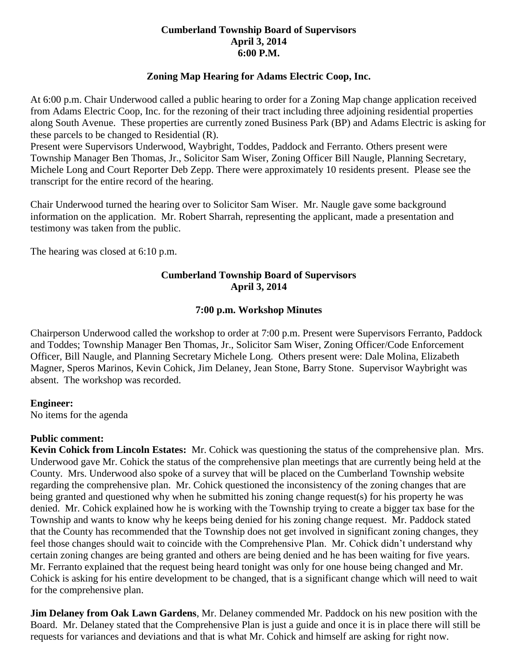### **Cumberland Township Board of Supervisors April 3, 2014 6:00 P.M.**

# **Zoning Map Hearing for Adams Electric Coop, Inc.**

At 6:00 p.m. Chair Underwood called a public hearing to order for a Zoning Map change application received from Adams Electric Coop, Inc. for the rezoning of their tract including three adjoining residential properties along South Avenue. These properties are currently zoned Business Park (BP) and Adams Electric is asking for these parcels to be changed to Residential (R).

Present were Supervisors Underwood, Waybright, Toddes, Paddock and Ferranto. Others present were Township Manager Ben Thomas, Jr., Solicitor Sam Wiser, Zoning Officer Bill Naugle, Planning Secretary, Michele Long and Court Reporter Deb Zepp. There were approximately 10 residents present. Please see the transcript for the entire record of the hearing.

Chair Underwood turned the hearing over to Solicitor Sam Wiser. Mr. Naugle gave some background information on the application. Mr. Robert Sharrah, representing the applicant, made a presentation and testimony was taken from the public.

The hearing was closed at 6:10 p.m.

# **Cumberland Township Board of Supervisors April 3, 2014**

#### **7:00 p.m. Workshop Minutes**

Chairperson Underwood called the workshop to order at 7:00 p.m. Present were Supervisors Ferranto, Paddock and Toddes; Township Manager Ben Thomas, Jr., Solicitor Sam Wiser, Zoning Officer/Code Enforcement Officer, Bill Naugle, and Planning Secretary Michele Long. Others present were: Dale Molina, Elizabeth Magner, Speros Marinos, Kevin Cohick, Jim Delaney, Jean Stone, Barry Stone. Supervisor Waybright was absent. The workshop was recorded.

#### **Engineer:**

No items for the agenda

#### **Public comment:**

**Kevin Cohick from Lincoln Estates:** Mr. Cohick was questioning the status of the comprehensive plan. Mrs. Underwood gave Mr. Cohick the status of the comprehensive plan meetings that are currently being held at the County. Mrs. Underwood also spoke of a survey that will be placed on the Cumberland Township website regarding the comprehensive plan. Mr. Cohick questioned the inconsistency of the zoning changes that are being granted and questioned why when he submitted his zoning change request(s) for his property he was denied. Mr. Cohick explained how he is working with the Township trying to create a bigger tax base for the Township and wants to know why he keeps being denied for his zoning change request. Mr. Paddock stated that the County has recommended that the Township does not get involved in significant zoning changes, they feel those changes should wait to coincide with the Comprehensive Plan. Mr. Cohick didn't understand why certain zoning changes are being granted and others are being denied and he has been waiting for five years. Mr. Ferranto explained that the request being heard tonight was only for one house being changed and Mr. Cohick is asking for his entire development to be changed, that is a significant change which will need to wait for the comprehensive plan.

**Jim Delaney from Oak Lawn Gardens**, Mr. Delaney commended Mr. Paddock on his new position with the Board. Mr. Delaney stated that the Comprehensive Plan is just a guide and once it is in place there will still be requests for variances and deviations and that is what Mr. Cohick and himself are asking for right now.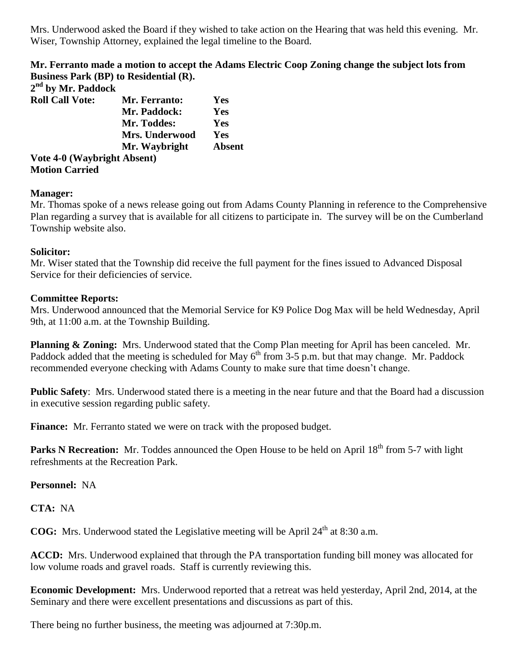Mrs. Underwood asked the Board if they wished to take action on the Hearing that was held this evening. Mr. Wiser, Township Attorney, explained the legal timeline to the Board.

**Mr. Ferranto made a motion to accept the Adams Electric Coop Zoning change the subject lots from Business Park (BP) to Residential (R).**

| 2 <sup>nd</sup> by Mr. Paddock |                       |               |
|--------------------------------|-----------------------|---------------|
| <b>Roll Call Vote:</b>         | Mr. Ferranto:         | Yes           |
|                                | Mr. Paddock:          | Yes           |
|                                | Mr. Toddes:           | Yes           |
|                                | <b>Mrs. Underwood</b> | Yes           |
|                                | Mr. Waybright         | <b>Absent</b> |
| Vote 4-0 (Waybright Absent)    |                       |               |
| <b>Motion Carried</b>          |                       |               |

#### **Manager:**

Mr. Thomas spoke of a news release going out from Adams County Planning in reference to the Comprehensive Plan regarding a survey that is available for all citizens to participate in. The survey will be on the Cumberland Township website also.

#### **Solicitor:**

Mr. Wiser stated that the Township did receive the full payment for the fines issued to Advanced Disposal Service for their deficiencies of service.

#### **Committee Reports:**

Mrs. Underwood announced that the Memorial Service for K9 Police Dog Max will be held Wednesday, April 9th, at 11:00 a.m. at the Township Building.

**Planning & Zoning:** Mrs. Underwood stated that the Comp Plan meeting for April has been canceled. Mr. Paddock added that the meeting is scheduled for May  $6<sup>th</sup>$  from 3-5 p.m. but that may change. Mr. Paddock recommended everyone checking with Adams County to make sure that time doesn't change.

**Public Safety**: Mrs. Underwood stated there is a meeting in the near future and that the Board had a discussion in executive session regarding public safety.

**Finance:** Mr. Ferranto stated we were on track with the proposed budget.

**Parks N Recreation:** Mr. Toddes announced the Open House to be held on April 18<sup>th</sup> from 5-7 with light refreshments at the Recreation Park.

**Personnel:** NA

**CTA:** NA

**COG:** Mrs. Underwood stated the Legislative meeting will be April 24<sup>th</sup> at 8:30 a.m.

**ACCD:** Mrs. Underwood explained that through the PA transportation funding bill money was allocated for low volume roads and gravel roads. Staff is currently reviewing this.

**Economic Development:** Mrs. Underwood reported that a retreat was held yesterday, April 2nd, 2014, at the Seminary and there were excellent presentations and discussions as part of this.

There being no further business, the meeting was adjourned at 7:30p.m.